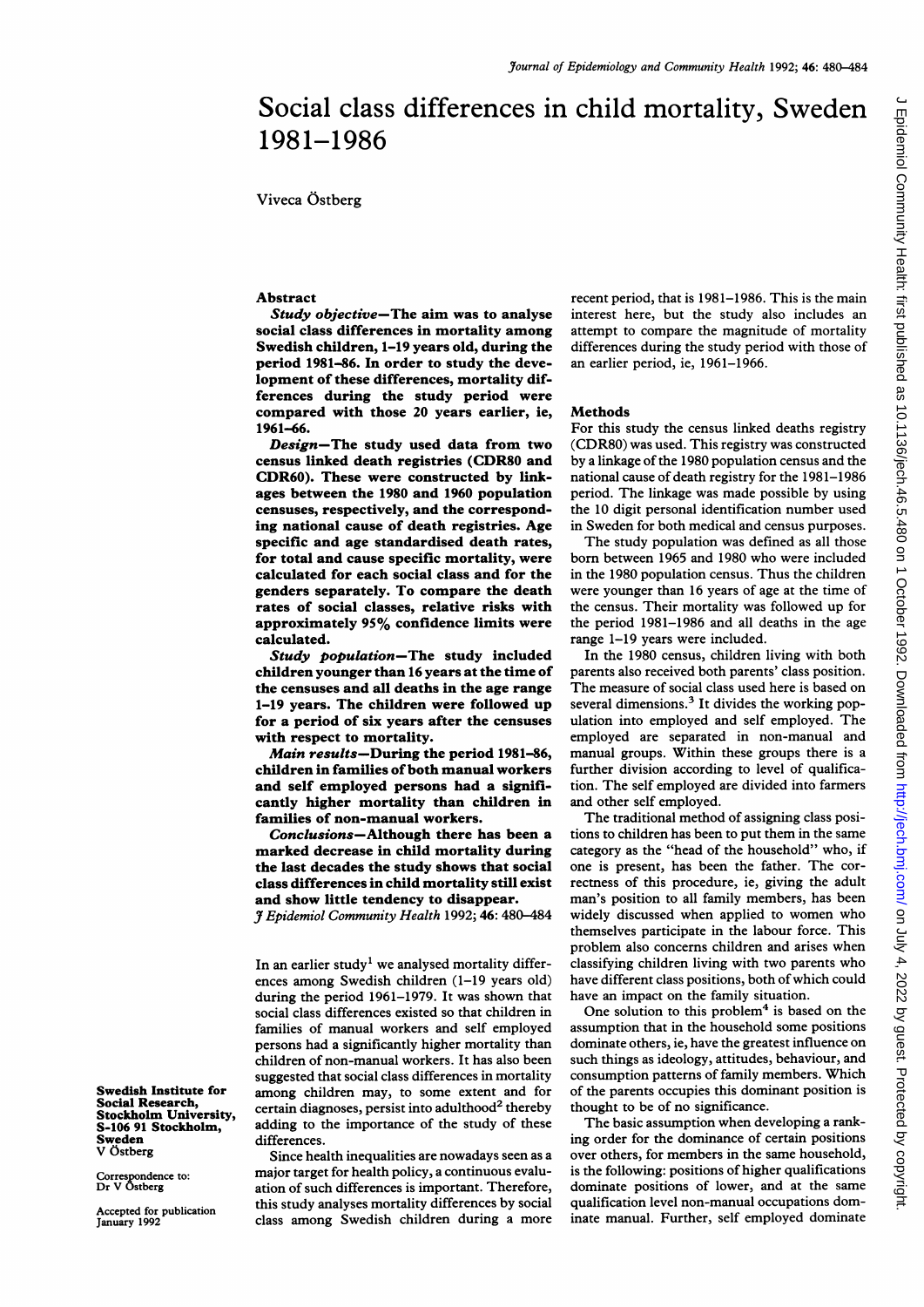# Social class differences in child mortality, Sweden 1981-1986

Viveca Ostberg

## Abstract

Study objective-The aim was to analyse social class differences in mortality among Swedish children, 1-19 years old, during the period 1981-86. In order to study the development of these differences, mortality differences during the study period were compared with those 20 years earlier, ie, 1961-66.

Design-The study used data from two census linked death registries (CDR80 and CDR60). These were constructed by linkages between the 1980 and 1960 population censuses, respectively, and the corresponding national cause of death registries. Age speciflc and age standardised death rates, for total and cause specific mortality, were calculated for each social class and for the genders separately. To compare the death rates of social classes, relative risks with approximately 95% confidence limits were calculated.

Study population-The study included children younger than 16 years at the time of the censuses and all deaths in the age range 1-19 years. The children were followed up for a period of six years after the censuses with respect to mortality.

Main results-During the period 1981-86, children in families of both manual workers and self employed persons had a significantly higher mortality than children in families of non-manual workers.

Conclusions-Although there has been a marked decrease in child mortality during the last decades the study shows that social class differences in child mortality still exist and show little tendency to disappear.

J Epidemiol Community Health 1992; 46: 480-484

In an earlier study<sup>1</sup> we analysed mortality differences among Swedish children (1-19 years old) during the period 1961-1979. It was shown that social class differences existed so that children in families of manual workers and self employed persons had a significantly higher mortality than children of non-manual workers. It has also been suggested that social class differences in mortality among children may, to some extent and for certain diagnoses, persist into adulthood<sup>2</sup> thereby adding to the importance of the study of these differences.

Since health inequalities are nowadays seen as a major target for health policy, a continuous evaluation of such differences is important. Therefore, this study analyses mortality differences by social class among Swedish children during <sup>a</sup> more

recent period, that is 1981-1986. This is the main interest here, but the study also includes an attempt to compare the magnitude of mortality differences during the study period with those of an earlier period, ie, 1961-1966.

## Methods

For this study the census linked deaths registry (CDR80) was used. This registry was constructed by a linkage of the 1980 population census and the national cause of death registry for the 1981-1986 period. The linkage was made possible by using the 10 digit personal identification number used in Sweden for both medical and census purposes.

The study population was defined as all those born between 1965 and 1980 who were included in the 1980 population census. Thus the children were younger than 16 years of age at the time of the census. Their mortality was followed up for the period 1981-1986 and all deaths in the age range 1-19 years were included.

In the 1980 census, children living with both parents also received both parents' class position. The measure of social class used here is based on several dimensions.<sup>3</sup> It divides the working population into employed and self employed. The employed are separated in non-manual and manual groups. Within these groups there is a further division according to level of qualification. The self employed are divided into farmers and other self employed.

The traditional method of assigning class positions to children has been to put them in the same category as the "head of the household" who, if one is present, has been the father. The correctness of this procedure, ie, giving the adult man's position to all family members, has been widely discussed when applied to women who themselves participate in the labour force. This problem also concerns children and arises when classifying children living with two parents who have different class positions, both of which could have an impact on the family situation.

One solution to this problem<sup>4</sup> is based on the assumption that in the household some positions dominate others, ie, have the greatest influence on such things as ideology, attitudes, behaviour, and consumption patterns of family members. Which of the parents occupies this dominant position is thought to be of no significance.

The basic assumption when developing <sup>a</sup> ranking order for the dominance of certain positions over others, for members in the same household, is the following: positions of higher qualifications dominate positions of lower, and at the same qualification level non-manual occupations dominate manual. Further, self employed dominate

Swedish Institute for Social Research, Stockholm University, S-106 91 Stockholm, Sweden V Ostberg

Correspondence to: Dr V Ostberg

Accepted for publication January 1992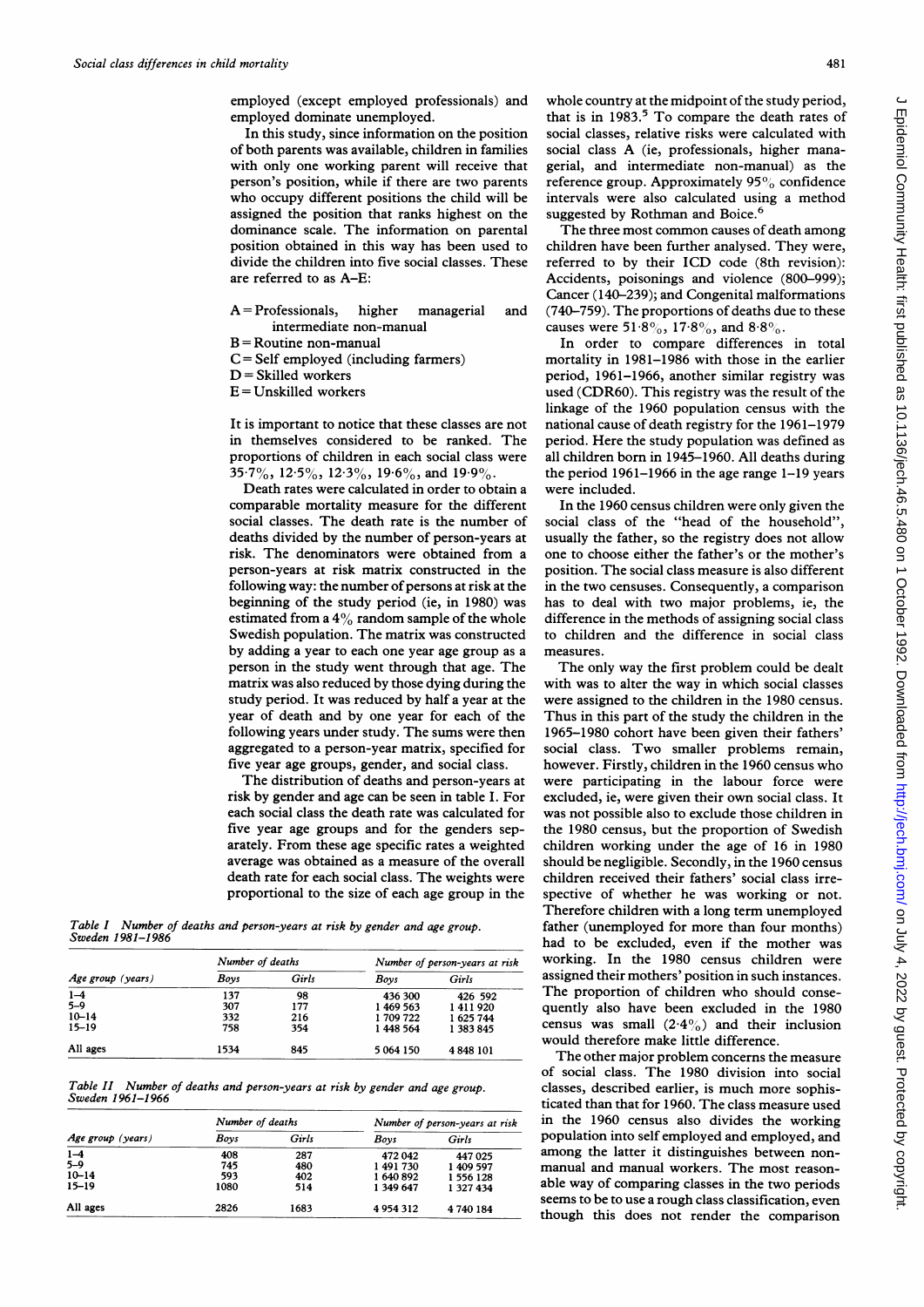employed (except employed professionals) and employed dominate unemployed.

In this study, since information on the position of both parents was available, children in families with only one working parent will receive that person's position, while if there are two parents who occupy different positions the child will be assigned the position that ranks highest on the dominance scale. The information on parental position obtained in this way has been used to divide the children into five social classes. These are referred to as A-E:

- A = Professionals, higher managerial and intermediate non-manual
- $B =$ Routine non-manual
- $C = Self$  employed (including farmers)
- $D =$  Skilled workers
- $E =$ Unskilled workers

It is important to notice that these classes are not in themselves considered to be ranked. The proportions of children in each social class were 35.7%,  $12.5\%$ ,  $12.3\%$ ,  $19.6\%$ , and  $19.9\%$ .

Death rates were calculated in order to obtain a comparable mortality measure for the different social classes. The death rate is the number of deaths divided by the number of person-years at risk. The denominators were obtained from a person-years at risk matrix constructed in the following way: the number of persons at risk at the beginning of the study period (ie, in 1980) was estimated from a  $4\%$  random sample of the whole Swedish population. The matrix was constructed by adding a year to each one year age group as a person in the study went through that age. The matrix was also reduced by those dying during the study period. It was reduced by half a year at the year of death and by one year for each of the following years under study. The sums were then aggregated to a person-year matrix, specified for five year age groups, gender, and social class.

The distribution of deaths and person-years at risk by gender and age can be seen in table I. For each social class the death rate was calculated for five year age groups and for the genders separately. From these age specific rates <sup>a</sup> weighted average was obtained as a measure of the overall death rate for each social class. The weights were proportional to the size of each age group in the

Table I Number of deaths and person-years at risk by gender and age group. Sweden 1981-1986

| Age group (years) | Number of deaths |       | Number of person-years at risk |           |  |
|-------------------|------------------|-------|--------------------------------|-----------|--|
|                   | Boys             | Girls | Boys                           | Girls     |  |
| $1-4$             | 137              | 98    | 436 300                        | 426 592   |  |
| $5 - 9$           | 307              | 177   | 1 469 563                      | 1411920   |  |
| $10 - 14$         | 332              | 216   | 1709722                        | 1625744   |  |
| $15 - 19$         | 758              | 354   | 1448 564                       | 1 383 845 |  |
| All ages          | 1534             | 845   | 5 064 150                      | 4848101   |  |

Table II Number of deaths and person-years at risk by gender and age group. Sweden 1961-1966

| Age group (years) | Number of deaths |       | Number of person-years at risk |           |  |
|-------------------|------------------|-------|--------------------------------|-----------|--|
|                   | Bovs             | Girls | Boys                           | Girls     |  |
| $1 - 4$           | 408              | 287   | 472 042                        | 447025    |  |
| $5 - 9$           | 745              | 480   | 1491730                        | 1 409 597 |  |
| $10 - 14$         | 593              | 402   | 1640892                        | 1 556 128 |  |
| $15 - 19$         | 1080             | 514   | 1 349 647                      | 1 327 434 |  |
| All ages          | 2826             | 1683  | 4954312                        | 4 740 184 |  |

whole country at the midpoint of the study period, that is in  $1983<sup>5</sup>$  To compare the death rates of social classes, relative risks were calculated with social class A (ie, professionals, higher managerial, and intermediate non-manual) as the reference group. Approximately  $95\%$  confidence intervals were also calculated using a method suggested by Rothman and Boice.<sup>6</sup>

The three most common causes of death among children have been further analysed. They were, referred to by their ICD code (8th revision): Accidents, poisonings and violence (800-999); Cancer (140-239); and Congenital malformations (740-759). The proportions of deaths due to these causes were  $51.8\%$ ,  $17.8\%$ , and  $8.8\%$ .

In order to compare differences in total mortality in 1981-1986 with those in the earlier period, 1961-1966, another similar registry was used (CDR60). This registry was the result of the linkage of the 1960 population census with the national cause of death registry for the 1961-1979 period. Here the study population was defined as all children born in 1945-1960. All deaths during the period 1961-1966 in the age range 1-19 years were included.

In the 1960 census children were only given the social class of the "head of the household", usually the father, so the registry does not allow one to choose either the father's or the mother's position. The social class measure is also different in the two censuses. Consequently, a comparison has to deal with two major problems, ie, the difference in the methods of assigning social class to children and the difference in social class measures.

The only way the first problem could be dealt with was to alter the way in which social classes were assigned to the children in the 1980 census. Thus in this part of the study the children in the 1965-1980 cohort have been given their fathers' social class. Two smaller problems remain, however. Firstly, children in the 1960 census who were participating in the labour force were excluded, ie, were given their own social class. It was not possible also to exclude those children in the 1980 census, but the proportion of Swedish children working under the age of 16 in 1980 should be negligible. Secondly, in the 1960 census children received their fathers' social class irrespective of whether he was working or not. Therefore children with a long term unemployed father (unemployed for more than four months) had to be excluded, even if the mother was working. In the 1980 census children were assigned their mothers' position in such instances. The proportion of children who should consequently also have been excluded in the 1980 census was small  $(2.4\%)$  and their inclusion would therefore make little difference.

The other major problem concerns the measure of social class. The 1980 division into social classes, described earlier, is much more sophisticated than that for 1960. The class measure used in the 1960 census also divides the working population into self employed and employed, and among the latter it distinguishes between nonmanual and manual workers. The most reasonable way of comparing classes in the two periods seems to be to use a rough class classification, even though this does not render the comparison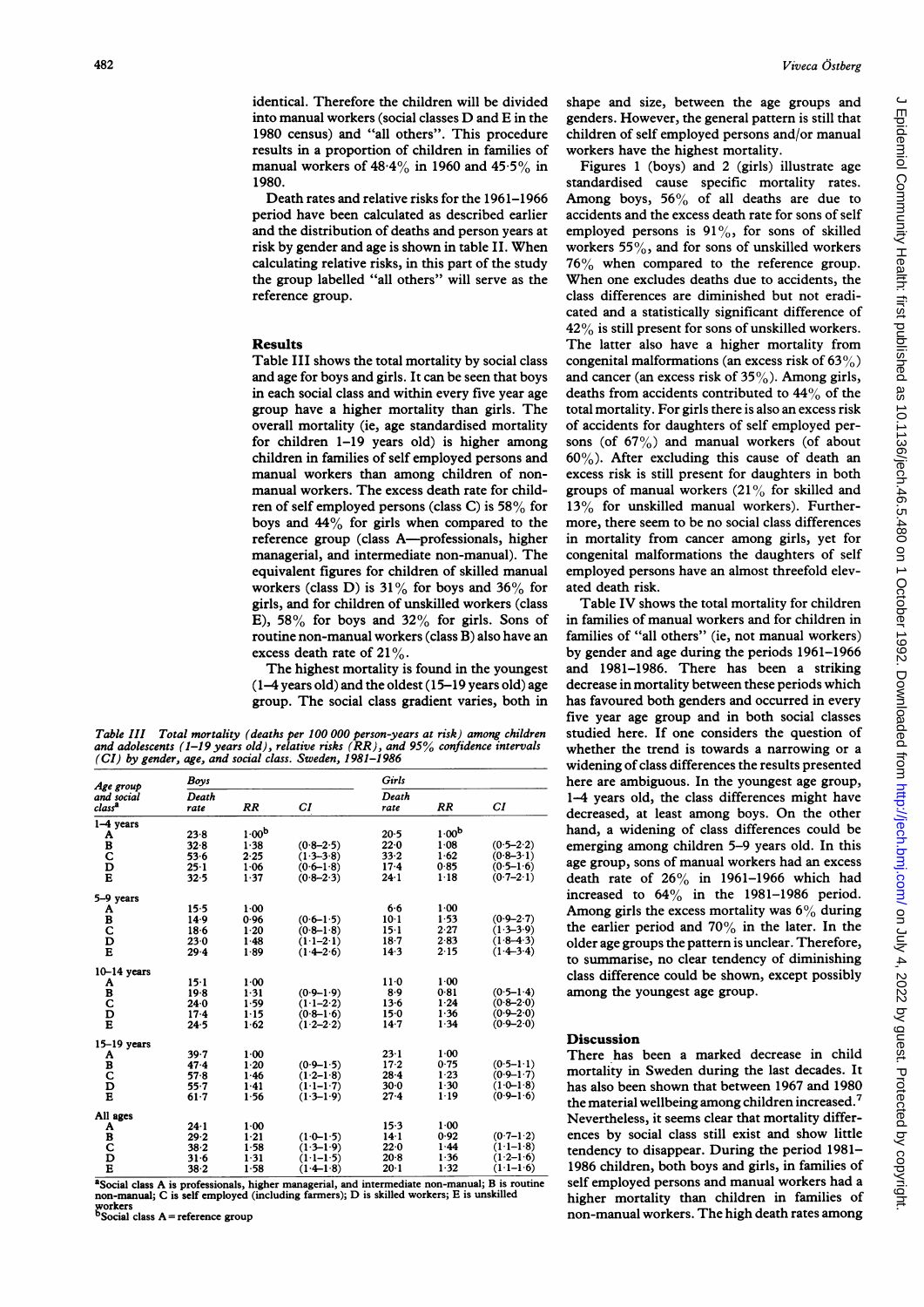identical. Therefore the children will be divided into manual workers (social classes D and E in the 1980 census) and "all others". This procedure results in a proportion of children in families of manual workers of  $48.4\%$  in 1960 and  $45.5\%$  in 1980.

Death rates and relative risks for the 1961-1966 period have been calculated as described earlier and the distribution of deaths and person years at risk by gender and age is shown in table II. When calculating relative risks, in this part of the study the group labelled "all others" will serve as the reference group.

#### Results

Table III shows the total mortality by social class and age for boys and girls. It can be seen that boys in each social class and within every five year age group have a higher mortality than girls. The overall mortality (ie, age standardised mortality for children 1-19 years old) is higher among children in families of self employed persons and manual workers than among children of nonmanual workers. The excess death rate for children of self employed persons (class C) is  $58\%$  for boys and 44% for girls when compared to the reference group (class A-professionals, higher managerial, and intermediate non-manual). The equivalent figures for children of skilled manual workers (class D) is  $31\%$  for boys and  $36\%$  for girls, and for children of unskilled workers (class E), 58% for boys and 32% for girls. Sons of routine non-manual workers (class B) also have an excess death rate of  $21\%$ .

The highest mortality is found in the youngest  $(1-4$  years old) and the oldest  $(15-19)$  years old) age group. The social class gradient varies, both in

Table III Total mortality (deaths per 100 000 person-years at risk) among children and adolescents (1-19 years old), relative risks (RR), and 95% confidence intervals (CI) by gender, age, and social class. Sweden, 1981-1986

| Age group          | Boys     |                   |               | Girls    |                   |               |
|--------------------|----------|-------------------|---------------|----------|-------------------|---------------|
| and social         | Death    |                   |               | Death    |                   |               |
| class <sup>a</sup> | rate     | RR                | CI            | rate     | <b>RR</b>         | СI            |
| $1-4$ years        |          |                   |               |          |                   |               |
|                    | 23.8     | 1.00 <sup>b</sup> |               | 20.5     | 1.00 <sup>b</sup> |               |
|                    | 32.8     | 1.38              | $(0.8 - 2.5)$ | 22.0     | 1.08              | $(0.5 - 2.2)$ |
|                    | 53.6     | 2.25              | $(1.3 - 3.8)$ | $33 - 2$ | 1.62              | $(0.8 - 3.1)$ |
|                    | $25 - 1$ | $1 - 06$          | $(0.6 - 1.8)$ | $17-4$   | 0.85              | $(0.5-1.6)$   |
| A B<br>C<br>D<br>E | 32.5     | 1.37              | $(0.8 - 2.3)$ | 24.1     | $1 - 18$          | $(0.7 - 2.1)$ |
| 5-9 years          |          |                   |               |          |                   |               |
| A                  | 15.5     | $1 - 00$          |               | 6.6      | $1-00$            |               |
| B<br>C<br>D<br>E   | 14.9     | 0.96              | $(0.6 - 1.5)$ | 10·1     | 1.53              | $(0.9 - 2.7)$ |
|                    | $18 - 6$ | $1 - 20$          | $(0.8 - 1.8)$ | $15-1$   | 2.27              | $(1.3 - 3.9)$ |
|                    | 230      | 1.48              | $(1.1-2.1)$   | $18 - 7$ | 2.83              | $(1.8 - 4.3)$ |
|                    | 29.4     | 1.89              | $(1.4 - 2.6)$ | 14.3     | 2.15              | $(1.4 - 3.4)$ |
| $10-14$ years      |          |                   |               |          |                   |               |
|                    | $15 - 1$ | $1 - 00$          |               | $11-0$   | 1.00              |               |
| A B<br>C<br>D<br>E | 19.8     | $1 - 31$          | $(0.9 - 1.9)$ | 8.9      | 0.81              | $(0.5 - 1.4)$ |
|                    | 24.0     | 1.59              | $(1.1 - 2.2)$ | 13.6     | 1.24              | $(0.8 - 2.0)$ |
|                    | $17-4$   | $1 - 15$          | $(0.8 - 1.6)$ | $15-0$   | 1.36              | $(0.9 - 2.0)$ |
|                    | 24.5     | 1.62              | $(1.2 - 2.2)$ | 14.7     | 1.34              | $(0.9 - 2.0)$ |
| $15-19$ years      |          |                   |               |          |                   |               |
| A                  | 39.7     | $1 - 00$          |               | $23 - 1$ | 1.00              |               |
| B<br>C<br>D<br>E   | 47.4     | 1.20              | $(0.9 - 1.5)$ | 17.2     | 0.75              | $(0.5 - 1.1)$ |
|                    | 57.8     | 1.46              | $(1.2 - 1.8)$ | $28 - 4$ | 1.23              | $(0.9 - 1.7)$ |
|                    | $55 - 7$ | 1.41              | $(1-1-1-7)$   | 30.0     | 1.30              | $(1.0 - 1.8)$ |
|                    | $61 - 7$ | 1.56              | $(1.3 - 1.9)$ | 27.4     | $1 - 19$          | $(0.9 - 1.6)$ |
| All ages           |          |                   |               |          |                   |               |
| A                  | 24.1     | $1 - 00$          |               | 15.3     | $1 - 00$          |               |
| B<br>C<br>D<br>E   | 29.2     | 1.21              | $(1.0 - 1.5)$ | 14.1     | 0.92              | $(0.7 - 1.2)$ |
|                    | 38.2     | 1.58              | $(1.3 - 1.9)$ | 22.0     | 1.44              | $(1-1-8)$     |
|                    | 31.6     | 1.31              | $(1.1 - 1.5)$ | 20.8     | 1.36              | $(1.2 - 1.6)$ |
|                    | 38.2     | 1.58              | $(1.4 - 1.8)$ | $20 - 1$ | 1.32              | $(1 - 1 - 6)$ |

aSocial class A is professionals, higher managerial, and intermediate non-manual; B is routine non-manual; C is self employed (including farmers); D is skilled workers; E is unskilled

workers<br><sup>b</sup>Social class A = reference group

shape and size, between the age groups and genders. However, the general pattern is still that children of self employed persons and/or manual workers have the highest mortality.

Figures <sup>1</sup> (boys) and 2 (girls) illustrate age standardised cause specific mortality rates. Among boys,  $56\%$  of all deaths are due to accidents and the excess death rate for sons of self employed persons is  $91\%$ , for sons of skilled workers  $55\%$ , and for sons of unskilled workers 76% when compared to the reference group. When one excludes deaths due to accidents, the class differences are diminished but not eradicated and a statistically significant difference of  $42\%$  is still present for sons of unskilled workers. The latter also have <sup>a</sup> higher mortality from congenital malformations (an excess risk of  $63\%$ ) and cancer (an excess risk of  $35\%$ ). Among girls, deaths from accidents contributed to 44% of the total mortality. For girls there is also an excess risk of accidents for daughters of self employed persons (of  $67\%$ ) and manual workers (of about  $60\%$ ). After excluding this cause of death an excess risk is still present for daughters in both groups of manual workers  $(21\%$  for skilled and 13% for unskilled manual workers). Furthermore, there seem to be no social class differences in mortality from cancer among girls, yet for congenital malformations the daughters of self employed persons have an almost threefold elevated death risk.

Table IV shows the total mortality for children in families of manual workers and for children in families of "all others" (ie, not manual workers) by gender and age during the periods 1961-1966 and 1981-1986. There has been a striking decrease in mortality between these periods which has favoured both genders and occurred in every five year age group and in both social classes studied here. If one considers the question of whether the trend is towards a narrowing or a widening of class differences the results presented here are ambiguous. In the youngest age group, 1-4 years old, the class differences might have decreased, at least among boys. On the other hand, a widening of class differences could be emerging among children 5-9 years old. In this age group, sons of manual workers had an excess death rate of 26% in 1961-1966 which had increased to  $64\%$  in the 1981-1986 period. Among girls the excess mortality was  $6\%$  during the earlier period and 70% in the later. In the older age groups the pattern is unclear. Therefore, to summarise, no clear tendency of diminishing class difference could be shown, except possibly among the youngest age group.

#### Discussion

There has been a marked decrease in child mortality in Sweden during the last decades. It has also been shown that between 1967 and 1980 the material wellbeing among children increased.7 Nevertheless, it seems clear that mortality differences by social class still exist and show little tendency to disappear. During the period 1981- 1986 children, both boys and girls, in families of self employed persons and manual workers had a higher mortality than children in families of non-manual workers. The high death rates among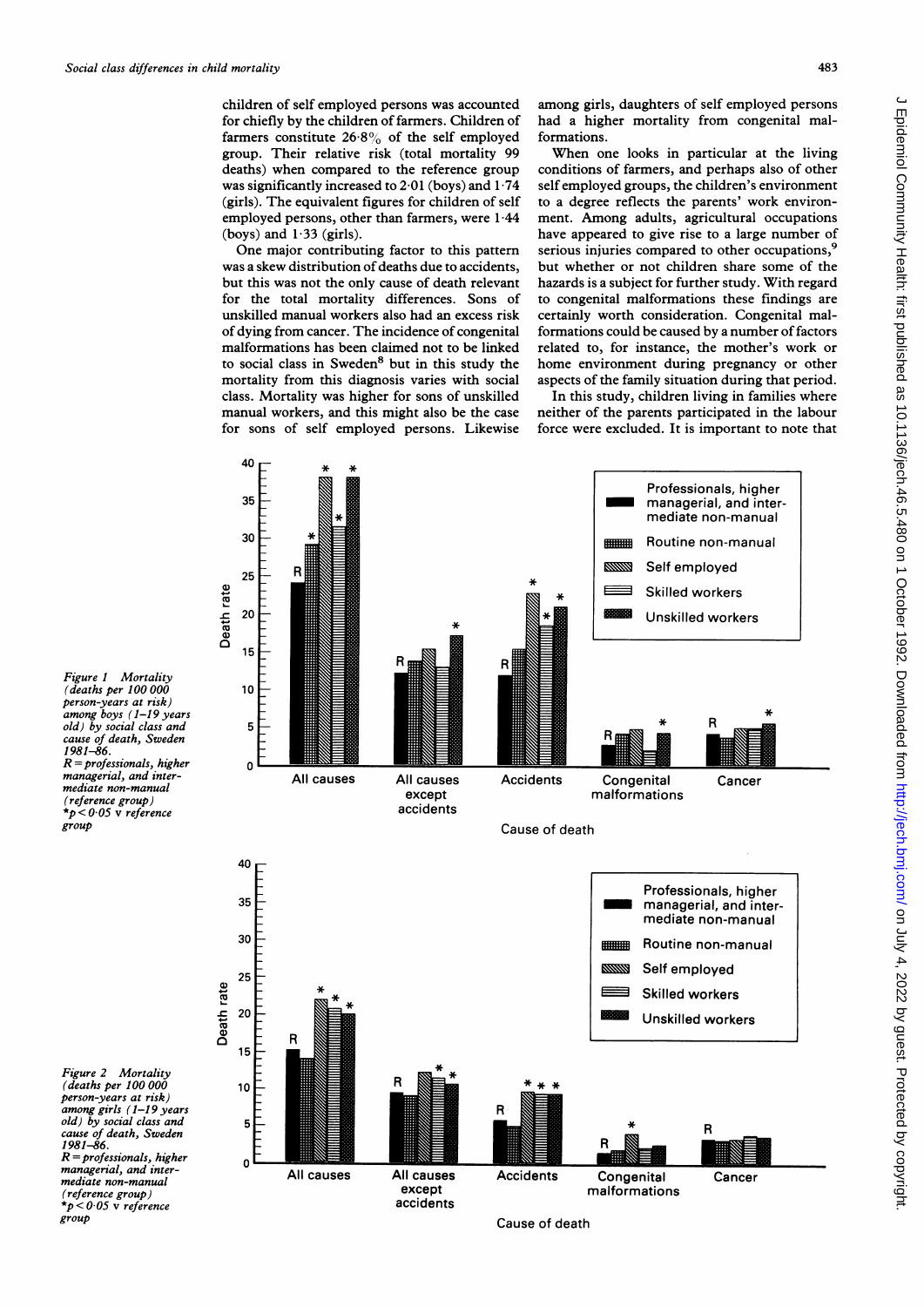children of self employed persons was accounted for chiefly by the children of farmers. Children of farmers constitute  $26.8\%$  of the self employed group. Their relative risk (total mortality 99 deaths) when compared to the reference group was significantly increased to 2 01 (boys) and 1-74 (girls). The equivalent figures for children of self employed persons, other than farmers, were 1-44 (boys) and  $1.33$  (girls).

One major contributing factor to this pattern was a skew distribution of deaths due to accidents, but this was not the only cause of death relevant for the total mortality differences. Sons of unskilled manual workers also had an excess risk of dying from cancer. The incidence of congenital malformations has been claimed not to be linked to social class in Sweden<sup>8</sup> but in this study the mortality from this diagnosis varies with social class. Mortality was higher for sons of unskilled manual workers, and this might also be the case for sons of self employed persons. Likewise

among girls, daughters of self employed persons had a higher mortality from congenital malformations.

When one looks in particular at the living conditions of farmers, and perhaps also of other self employed groups, the children's environment to a degree reflects the parents' work environment. Among adults, agricultural occupations have appeared to give rise to a large number of serious injuries compared to other occupations,<sup>9</sup> but whether or not children share some of the hazards is a subject for further study. With regard to congenital malformations these findings are certainly worth consideration. Congenital malformations could be caused by a number of factors related to, for instance, the mother's work or home environment during pregnancy or other aspects of the family situation during that period.

In this study, children living in families where neither of the parents participated in the labour force were excluded. It is important to note that



(deaths per 100 000 person-years at risk) among boys (1-19 years old) by social class and cause of death, Sweden 1981-86.  $R =$  professionals, higher managerial, and intermediate non-manual (reference group) \*p < 0 <sup>05</sup> v reference group

Figure I Mortality

Figure 2 Mortality (deaths per 100 000 person-years at risk) among girls (1-19 years old) by social class and cause of death, Sweden 1981-86.  $R =$  professionals, higher managerial, and intermediate non-manual (reference group) \*p < 0 05 <sup>v</sup> reference group